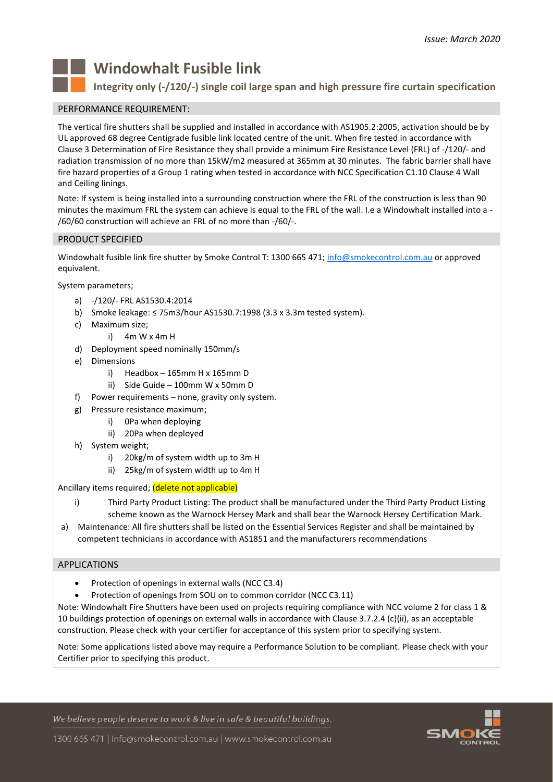

# **Windowhalt Fusible link**

**Integrity only (-/120/-) single coil large span and high pressure fire curtain specification**

## PERFORMANCE REQUIREMENT:

The vertical fire shutters shall be supplied and installed in accordance with AS1905.2:2005, activation should be by UL approved 68 degree Centigrade fusible link located centre of the unit. When fire tested in accordance with Clause 3 Determination of Fire Resistance they shall provide a minimum Fire Resistance Level (FRL) of -/120/- and radiation transmission of no more than 15kW/m2 measured at 365mm at 30 minutes. The fabric barrier shall have fire hazard properties of a Group 1 rating when tested in accordance with NCC Specification C1.10 Clause 4 Wall and Ceiling linings.

Note: If system is being installed into a surrounding construction where the FRL of the construction is less than 90 minutes the maximum FRL the system can achieve is equal to the FRL of the wall. I.e a Windowhalt installed into a - /60/60 construction will achieve an FRL of no more than -/60/-.

# PRODUCT SPECIFIED

Windowhalt fusible link fire shutter by Smoke Control T: 1300 665 471; [info@smokecontrol.com.au](mailto:info@smokecontrol.com.au) or approved equivalent.

System parameters;

- a) -/120/- FRL AS1530.4:2014
- b) Smoke leakage:  $\leq$  75m3/hour AS1530.7:1998 (3.3 x 3.3m tested system).
- c) Maximum size;
	- i) 4m W x 4m H
- d) Deployment speed nominally 150mm/s
- e) Dimensions
	- i) Headbox  $-165$ mm H x 165mm D
	- ii) Side Guide 100mm W x 50mm D
- f) Power requirements none, gravity only system.
- g) Pressure resistance maximum;
	- i) 0Pa when deploying
	- ii) 20Pa when deployed
- h) System weight;
	- i) 20kg/m of system width up to 3m H
	- ii) 25kg/m of system width up to 4m H

## Ancillary items required; (delete not applicable)

- i) Third Party Product Listing: The product shall be manufactured under the Third Party Product Listing scheme known as the Warnock Hersey Mark and shall bear the Warnock Hersey Certification Mark.
- a) Maintenance: All fire shutters shall be listed on the Essential Services Register and shall be maintained by competent technicians in accordance with AS1851 and the manufacturers recommendations

## APPLICATIONS

- Protection of openings in external walls (NCC C3.4)
- Protection of openings from SOU on to common corridor (NCC C3.11)

Note: Windowhalt Fire Shutters have been used on projects requiring compliance with NCC volume 2 for class 1 & 10 buildings protection of openings on external walls in accordance with Clause 3.7.2.4 (c)(ii), as an acceptable construction. Please check with your certifier for acceptance of this system prior to specifying system.

Note: Some applications listed above may require a Performance Solution to be compliant. Please check with your Certifier prior to specifying this product.